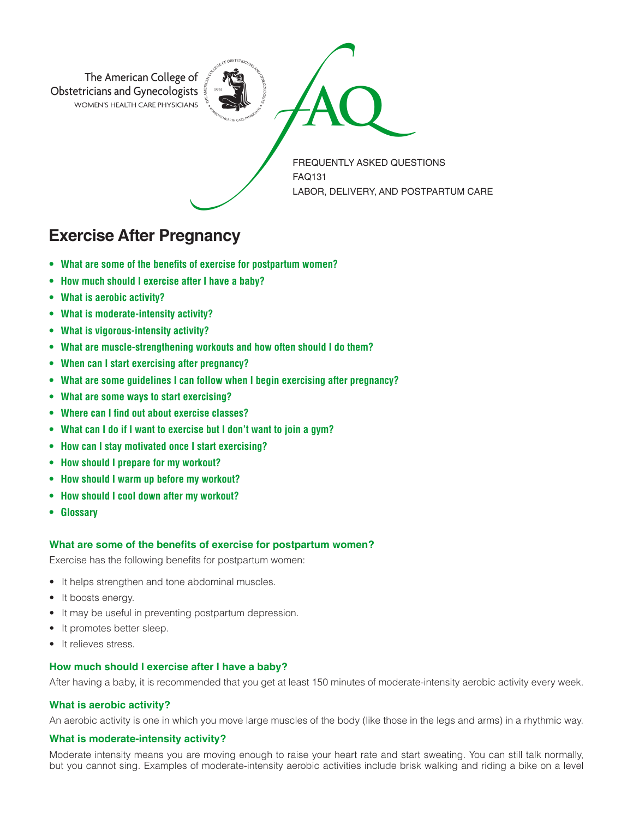

**Exercise After Pregnancy**

- **• What are some of the benefits of exercise for postpartum women?**
- **• How much should I exercise after I have a baby?**
- **• What is aerobic activity?**
- **• What is moderate-intensity activity?**
- **• What is vigorous-intensity activity?**
- **• What are muscle-strengthening workouts and how often should I do them?**
- **• When can I start exercising after pregnancy?**
- **• What are some guidelines I can follow when I begin exercising after pregnancy?**
- **• What are some ways to start exercising?**
- **• Where can I find out about exercise classes?**
- **• What can I do if I want to exercise but I don't want to join a gym?**
- **• How can I stay motivated once I start exercising?**
- **• How should I prepare for my workout?**
- **• How should I warm up before my workout?**
- **• How should I cool down after my workout?**
- **Glossary**

# **What are some of the benefits of exercise for postpartum women?**

Exercise has the following benefits for postpartum women:

- It helps strengthen and tone abdominal muscles.
- It boosts energy.
- It may be useful in preventing postpartum depression.
- It promotes better sleep.
- It relieves stress.

#### **How much should I exercise after I have a baby?**

After having a baby, it is recommended that you get at least 150 minutes of moderate-intensity aerobic activity every week.

# **What is aerobic activity?**

An aerobic activity is one in which you move large muscles of the body (like those in the legs and arms) in a rhythmic way.

# **What is moderate-intensity activity?**

Moderate intensity means you are moving enough to raise your heart rate and start sweating. You can still talk normally, but you cannot sing. Examples of moderate-intensity aerobic activities include brisk walking and riding a bike on a level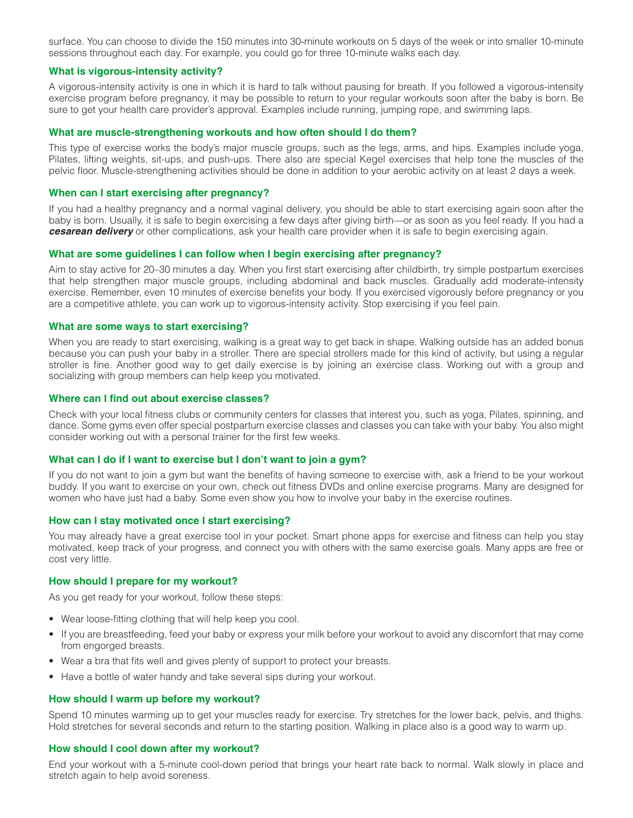surface. You can choose to divide the 150 minutes into 30-minute workouts on 5 days of the week or into smaller 10-minute sessions throughout each day. For example, you could go for three 10-minute walks each day.

## **What is vigorous-intensity activity?**

A vigorous-intensity activity is one in which it is hard to talk without pausing for breath. If you followed a vigorous-intensity exercise program before pregnancy, it may be possible to return to your regular workouts soon after the baby is born. Be sure to get your health care provider's approval. Examples include running, jumping rope, and swimming laps.

#### **What are muscle-strengthening workouts and how often should I do them?**

This type of exercise works the body's major muscle groups, such as the legs, arms, and hips. Examples include yoga, Pilates, lifting weights, sit-ups, and push-ups. There also are special Kegel exercises that help tone the muscles of the pelvic floor. Muscle-strengthening activities should be done in addition to your aerobic activity on at least 2 days a week.

#### **When can I start exercising after pregnancy?**

If you had a healthy pregnancy and a normal vaginal delivery, you should be able to start exercising again soon after the baby is born. Usually, it is safe to begin exercising a few days after giving birth—or as soon as you feel ready. If you had a *cesarean delivery* or other complications, ask your health care provider when it is safe to begin exercising again.

## **What are some guidelines I can follow when I begin exercising after pregnancy?**

Aim to stay active for 20–30 minutes a day. When you first start exercising after childbirth, try simple postpartum exercises that help strengthen major muscle groups, including abdominal and back muscles. Gradually add moderate-intensity exercise. Remember, even 10 minutes of exercise benefits your body. If you exercised vigorously before pregnancy or you are a competitive athlete, you can work up to vigorous-intensity activity. Stop exercising if you feel pain.

## **What are some ways to start exercising?**

When you are ready to start exercising, walking is a great way to get back in shape. Walking outside has an added bonus because you can push your baby in a stroller. There are special strollers made for this kind of activity, but using a regular stroller is fine. Another good way to get daily exercise is by joining an exercise class. Working out with a group and socializing with group members can help keep you motivated.

## **Where can I find out about exercise classes?**

Check with your local fitness clubs or community centers for classes that interest you, such as yoga, Pilates, spinning, and dance. Some gyms even offer special postpartum exercise classes and classes you can take with your baby. You also might consider working out with a personal trainer for the first few weeks.

## **What can I do if I want to exercise but I don't want to join a gym?**

If you do not want to join a gym but want the benefits of having someone to exercise with, ask a friend to be your workout buddy. If you want to exercise on your own, check out fitness DVDs and online exercise programs. Many are designed for women who have just had a baby. Some even show you how to involve your baby in the exercise routines.

#### **How can I stay motivated once I start exercising?**

You may already have a great exercise tool in your pocket. Smart phone apps for exercise and fitness can help you stay motivated, keep track of your progress, and connect you with others with the same exercise goals. Many apps are free or cost very little.

#### **How should I prepare for my workout?**

As you get ready for your workout, follow these steps:

- Wear loose-fitting clothing that will help keep you cool.
- If you are breastfeeding, feed your baby or express your milk before your workout to avoid any discomfort that may come from engorged breasts.
- Wear a bra that fits well and gives plenty of support to protect your breasts.
- Have a bottle of water handy and take several sips during your workout.

#### **How should I warm up before my workout?**

Spend 10 minutes warming up to get your muscles ready for exercise. Try stretches for the lower back, pelvis, and thighs. Hold stretches for several seconds and return to the starting position. Walking in place also is a good way to warm up.

## **How should I cool down after my workout?**

End your workout with a 5-minute cool-down period that brings your heart rate back to normal. Walk slowly in place and stretch again to help avoid soreness.